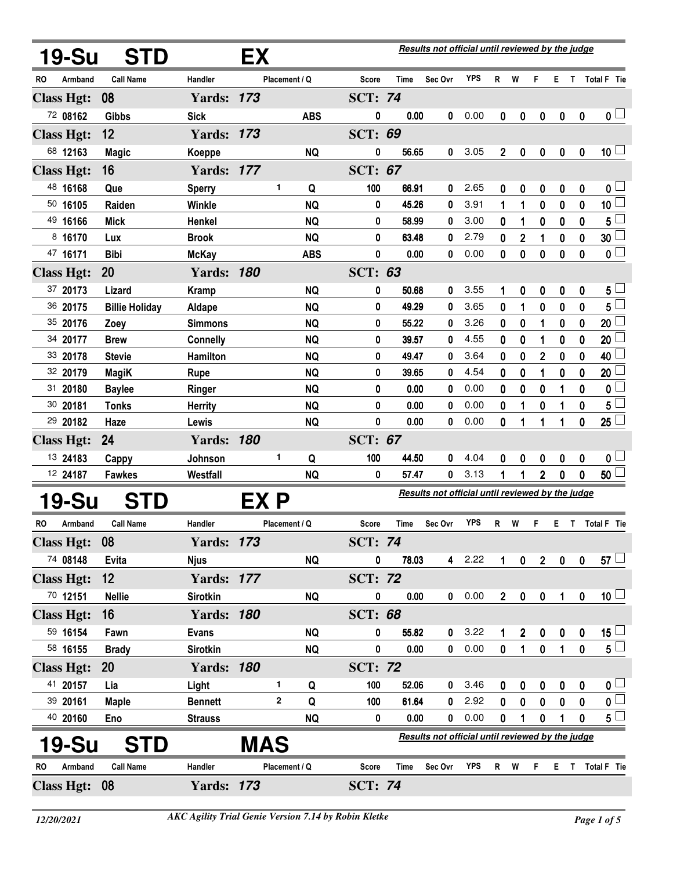| 19-Su             | <b>STD</b>            |                   | ЕX         |               |                |       | Results not official until reviewed by the judge |              |                  |             |                  |                  |                  |                         |
|-------------------|-----------------------|-------------------|------------|---------------|----------------|-------|--------------------------------------------------|--------------|------------------|-------------|------------------|------------------|------------------|-------------------------|
| Armband<br>RO     | <b>Call Name</b>      | Handler           |            | Placement / Q | Score          | Time  | Sec Ovr                                          | <b>YPS</b>   | R                | W           | F.               | Е.               | $\mathsf{T}$     | Total F Tie             |
| <b>Class Hgt:</b> | 08                    | <b>Yards: 173</b> |            |               | <b>SCT: 74</b> |       |                                                  |              |                  |             |                  |                  |                  |                         |
| 72 08162          | <b>Gibbs</b>          | <b>Sick</b>       |            | <b>ABS</b>    | 0              | 0.00  | 0                                                | 0.00         | $\mathbf{0}$     | 0           | $\boldsymbol{0}$ | $\boldsymbol{0}$ | $\boldsymbol{0}$ | 0 <sub>1</sub>          |
| <b>Class Hgt:</b> | 12                    | <b>Yards: 173</b> |            |               | <b>SCT: 69</b> |       |                                                  |              |                  |             |                  |                  |                  |                         |
| 68 12163          | <b>Magic</b>          | Koeppe            |            | <b>NQ</b>     | 0              | 56.65 | 0                                                | 3.05         | $\mathbf{2}$     | 0           | 0                | $\boldsymbol{0}$ | $\boldsymbol{0}$ | 10 <sup>1</sup>         |
| <b>Class Hgt:</b> | 16                    | <b>Yards: 177</b> |            |               | <b>SCT: 67</b> |       |                                                  |              |                  |             |                  |                  |                  |                         |
| 48 16168          | Que                   | <b>Sperry</b>     |            | 1<br>Q        | 100            | 66.91 | 0                                                | 2.65         | 0                | 0           | 0                | 0                | $\boldsymbol{0}$ | 0 <sub>1</sub>          |
| 50 16105          | Raiden                | <b>Winkle</b>     |            | <b>NQ</b>     | 0              | 45.26 | 0                                                | 3.91         | 1                | 1           | 0                | 0                | 0                | 10 <sup>1</sup>         |
| 49 16166          | <b>Mick</b>           | Henkel            |            | <b>NQ</b>     | 0              | 58.99 | 0                                                | 3.00         | 0                | 1           | 0                | 0                | 0                | 5 <sup>1</sup>          |
| 8 16170           | Lux                   | <b>Brook</b>      |            | <b>NQ</b>     | 0              | 63.48 | 0                                                | 2.79         | 0                | 2           | 1                | 0                | 0                | 30 <sup>2</sup>         |
| 47 16171          | <b>Bibi</b>           | <b>McKay</b>      |            | <b>ABS</b>    | 0              | 0.00  | 0                                                | 0.00         | 0                | 0           | 0                | 0                | 0                | $\overline{\mathbf{0}}$ |
| <b>Class Hgt:</b> | 20                    | <b>Yards: 180</b> |            |               | <b>SCT: 63</b> |       |                                                  |              |                  |             |                  |                  |                  |                         |
| 37 20173          | Lizard                | <b>Kramp</b>      |            | <b>NQ</b>     | 0              | 50.68 | 0                                                | 3.55         |                  | 0           | 0                | 0                | 0                | $5 -$                   |
| 36 20175          | <b>Billie Holiday</b> | Aldape            |            | <b>NQ</b>     | 0              | 49.29 | 0                                                | 3.65         | 0                | 1           | 0                | 0                | 0                | $5^{\frac{1}{2}}$       |
| 35 20176          | Zoey                  | <b>Simmons</b>    |            | <b>NQ</b>     | 0              | 55.22 | 0                                                | 3.26         | 0                | 0           | 1                | 0                | 0                | 20 <sup>1</sup>         |
| 34 20177          | <b>Brew</b>           | <b>Connelly</b>   |            | <b>NQ</b>     | 0              | 39.57 | 0                                                | 4.55         | 0                | 0           | 1                | 0                | 0                | 20                      |
| 33 20178          | <b>Stevie</b>         | Hamilton          |            | <b>NQ</b>     | 0              | 49.47 | 0                                                | 3.64         | 0                | 0           | 2                | 0                | 0                | 40                      |
| 32 20179          | <b>MagiK</b>          | Rupe              |            | <b>NQ</b>     | 0              | 39.65 | 0                                                | 4.54         | 0                | 0           | 1                | 0                | 0                | 20                      |
| 31 20180          | <b>Baylee</b>         | Ringer            |            | <b>NQ</b>     | 0              | 0.00  | 0                                                | 0.00         | 0                | 0           | 0                | 1                | $\bf{0}$         | 0 <sup>1</sup>          |
| 30 20181          | <b>Tonks</b>          | <b>Herrity</b>    |            | <b>NQ</b>     | 0              | 0.00  | 0                                                | 0.00         | 0                | 1           | 0                | 1                | 0                | 5 <sup>1</sup>          |
| 29 20182          | Haze                  | Lewis             |            | <b>NQ</b>     | 0              | 0.00  | 0                                                | 0.00         | 0                | 1           | 1                | 1                | 0                | $25\Box$                |
| <b>Class Hgt:</b> | 24                    | <b>Yards: 180</b> |            |               | <b>SCT: 67</b> |       |                                                  |              |                  |             |                  |                  |                  |                         |
| 13 24183          | Cappy                 | Johnson           |            | 1<br>Q        | 100            | 44.50 | 0                                                | 4.04<br>3.13 | 0                | 0           | 0                | 0                | $\boldsymbol{0}$ | 0 <sub>1</sub>          |
| 12 24187          | <b>Fawkes</b>         | Westfall          |            | <b>NQ</b>     | 0              | 57.47 | 0                                                |              | 1                | 1           | $\overline{2}$   | 0                | $\boldsymbol{0}$ | 50 <sup>1</sup>         |
| 19-Su             | <b>STD</b>            |                   | EX P       |               |                |       | Results not official until reviewed by the judge |              |                  |             |                  |                  |                  |                         |
| RO<br>Armband     | <b>Call Name</b>      | Handler           |            | Placement / Q | Score          | Time  | Sec Ovr                                          | <b>YPS</b>   | R.               | W           | F                | Е.               |                  | T Total F Tie           |
| <b>Class Hgt:</b> | 08                    | <b>Yards: 173</b> |            |               | <b>SCT: 74</b> |       |                                                  |              |                  |             |                  |                  |                  |                         |
| 74 08148          | Evita                 | <b>Njus</b>       |            | <b>NQ</b>     | 0              | 78.03 |                                                  | 4 2.22       | 1                | $\mathbf 0$ | $2^{\circ}$      | $\mathbf 0$      | $\boldsymbol{0}$ | $57 \Box$               |
| <b>Class Hgt:</b> | 12                    | <b>Yards: 177</b> |            |               | <b>SCT: 72</b> |       |                                                  |              |                  |             |                  |                  |                  |                         |
| 70 12151          | <b>Nellie</b>         | <b>Sirotkin</b>   |            | <b>NQ</b>     | 0              | 0.00  | 0                                                | 0.00         | 2 <sup>1</sup>   | $\pmb{0}$   | $\mathbf 0$      | 1                | $\pmb{0}$        | 10 <sup>1</sup>         |
| <b>Class Hgt:</b> | 16                    | <b>Yards: 180</b> |            |               | <b>SCT: 68</b> |       |                                                  |              |                  |             |                  |                  |                  |                         |
| 59 16154          | Fawn                  | <b>Evans</b>      |            | <b>NQ</b>     | 0              | 55.82 | 0                                                | 3.22         |                  | 2           | $\pmb{0}$        | $\pmb{0}$        | 0                | $15\sqcup$              |
| 58 16155          | <b>Brady</b>          | <b>Sirotkin</b>   |            | <b>NQ</b>     | 0              | 0.00  | 0                                                | 0.00         | 0                | 1           | 0                | 1                | $\mathbf 0$      | $5^{\square}$           |
| <b>Class Hgt:</b> | <b>20</b>             | <b>Yards: 180</b> |            |               | <b>SCT: 72</b> |       |                                                  |              |                  |             |                  |                  |                  |                         |
| 41 20157          | Lia                   | Light             |            | 1<br>Q        | 100            | 52.06 | 0                                                | 3.46         | 0                | 0           | 0                | 0                | 0                | $\mathbf{0}$ $\Box$     |
| 39 20161          | <b>Maple</b>          | <b>Bennett</b>    |            | 2<br>Q        | 100            | 61.64 | 0                                                | 2.92         | $\boldsymbol{0}$ | 0           | 0                | 0                | $\boldsymbol{0}$ | $\overline{\mathbf{0}}$ |
| 40 20160          | Eno                   | <b>Strauss</b>    |            | <b>NQ</b>     | 0              | 0.00  | 0                                                | 0.00         | 0                | 1           | $\boldsymbol{0}$ | 1                | 0                | $5^{\square}$           |
| 19-Su             | <b>STD</b>            |                   | <b>MAS</b> |               |                |       | Results not official until reviewed by the judge |              |                  |             |                  |                  |                  |                         |
| Armband<br>RO     | <b>Call Name</b>      | Handler           |            | Placement / Q | <b>Score</b>   | Time  | Sec Ovr                                          | <b>YPS</b>   | R W              |             | F.               |                  |                  | E T Total F Tie         |
| Class Hgt: 08     |                       | <b>Yards: 173</b> |            |               | <b>SCT: 74</b> |       |                                                  |              |                  |             |                  |                  |                  |                         |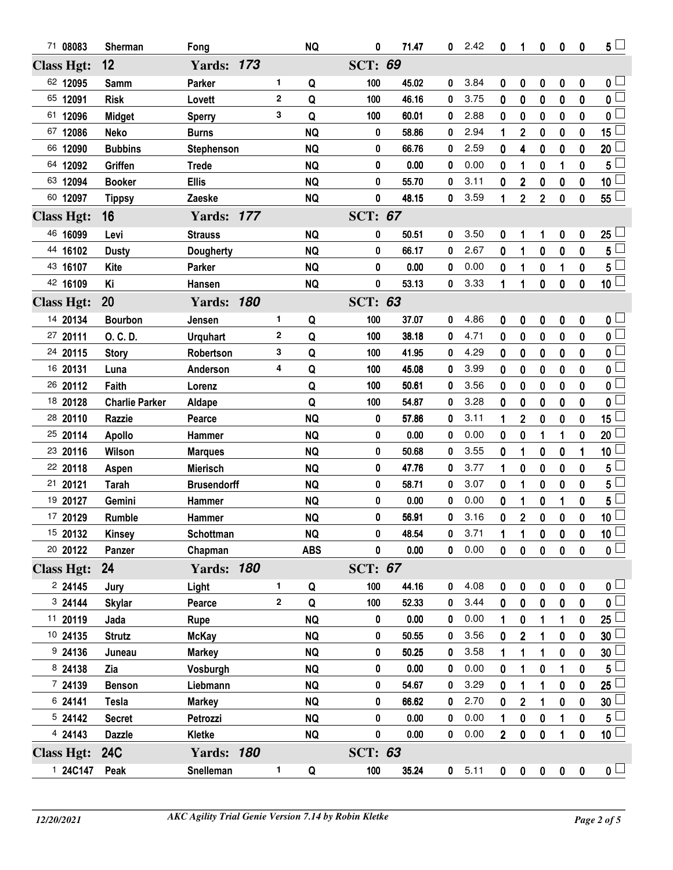| 71 08083          | Sherman               | Fong               |              | <b>NQ</b>  | 0              | 71.47 | 0           | 2.42 | 0              | 1                | 0              | 0                | 0            | $5\perp$                |
|-------------------|-----------------------|--------------------|--------------|------------|----------------|-------|-------------|------|----------------|------------------|----------------|------------------|--------------|-------------------------|
| <b>Class Hgt:</b> | 12                    | <b>Yards: 173</b>  |              |            | <b>SCT: 69</b> |       |             |      |                |                  |                |                  |              |                         |
| 62 12095          | Samm                  | Parker             | 1            | Q          | 100            | 45.02 | 0           | 3.84 | 0              | 0                | 0              | $\bf{0}$         | $\mathbf 0$  | 0                       |
| 65 12091          | <b>Risk</b>           | Lovett             | $\mathbf 2$  | Q          | 100            | 46.16 | 0           | 3.75 | 0              | 0                | 0              | $\bf{0}$         | 0            | $\overline{\mathbf{0}}$ |
| 61<br>12096       | <b>Midget</b>         | <b>Sperry</b>      | 3            | Q          | 100            | 60.01 | 0           | 2.88 | 0              | $\bf{0}$         | 0              | $\bf{0}$         | $\mathbf{0}$ | $\mathbf{0}$            |
| 67 12086          | <b>Neko</b>           | <b>Burns</b>       |              | <b>NQ</b>  | 0              | 58.86 | 0           | 2.94 | 1              | $\boldsymbol{2}$ | 0              | 0                | 0            | 15 $\mathsf{I}$         |
| 66 12090          | <b>Bubbins</b>        | Stephenson         |              | <b>NQ</b>  | 0              | 66.76 | 0           | 2.59 | $\mathbf{0}$   | 4                | 0              | $\boldsymbol{0}$ | $\mathbf 0$  | 20                      |
| 64 12092          | Griffen               | <b>Trede</b>       |              | <b>NQ</b>  | 0              | 0.00  | 0           | 0.00 | 0              | 1                | 0              | 1                | $\mathbf{0}$ | 5                       |
| 63 12094          | <b>Booker</b>         | <b>Ellis</b>       |              | <b>NQ</b>  | 0              | 55.70 | 0           | 3.11 | 0              | $\overline{2}$   | 0              | $\bf{0}$         | 0            | 10 <sub>1</sub>         |
| 60 12097          | <b>Tippsy</b>         | Zaeske             |              | <b>NQ</b>  | 0              | 48.15 | 0           | 3.59 | 1              | $\overline{2}$   | $\overline{2}$ | $\bf{0}$         | $\mathbf 0$  | $55 -$                  |
| <b>Class Hgt:</b> | 16                    | <b>Yards: 177</b>  |              |            | <b>SCT: 67</b> |       |             |      |                |                  |                |                  |              |                         |
| 46 16099          | Levi                  | <b>Strauss</b>     |              | <b>NQ</b>  | 0              | 50.51 | 0           | 3.50 | 0              | 1                | 1              | 0                | 0            | 25                      |
| 44 16102          | <b>Dusty</b>          | <b>Dougherty</b>   |              | <b>NQ</b>  | 0              | 66.17 | 0           | 2.67 | 0              | 1                | 0              | $\mathbf 0$      | 0            | 5                       |
| 43 16107          | Kite                  | Parker             |              | <b>NQ</b>  | 0              | 0.00  | 0           | 0.00 | 0              | 1                | 0              | 1                | $\mathbf 0$  | $5^{\frac{1}{2}}$       |
| 42 16109          | Ki                    | Hansen             |              | <b>NQ</b>  | 0              | 53.13 | 0           | 3.33 | 1              | 1                | 0              | $\mathbf 0$      | 0            | $\overline{10}$         |
| <b>Class Hgt:</b> | 20                    | <b>Yards: 180</b>  |              |            | <b>SCT: 63</b> |       |             |      |                |                  |                |                  |              |                         |
| 14 20134          | <b>Bourbon</b>        | Jensen             | 1            | Q          | 100            | 37.07 | 0           | 4.86 | 0              | 0                | 0              | 0                | 0            | 0                       |
| 27 20111          | O. C. D.              | <b>Urquhart</b>    | $\mathbf 2$  | Q          | 100            | 38.18 | 0           | 4.71 | 0              | 0                | 0              | 0                | 0            | $\overline{\mathbf{0}}$ |
| 24 20115          | <b>Story</b>          | Robertson          | 3            | Q          | 100            | 41.95 | 0           | 4.29 | 0              | 0                | 0              | $\mathbf 0$      | 0            | 0                       |
| 16 20131          | Luna                  | Anderson           | 4            | Q          | 100            | 45.08 | 0           | 3.99 | 0              | 0                | 0              | 0                | 0            | 0                       |
| 26 20112          | Faith                 | Lorenz             |              | Q          | 100            | 50.61 | 0           | 3.56 | 0              | 0                | 0              | $\bf{0}$         | $\mathbf{0}$ | 0                       |
| 18 20128          | <b>Charlie Parker</b> | Aldape             |              | Q          | 100            | 54.87 | 0           | 3.28 | 0              | 0                | 0              | $\bf{0}$         | 0            | $\Box$<br>0             |
| 28 20110          | <b>Razzie</b>         | Pearce             |              | <b>NQ</b>  | 0              | 57.86 | 0           | 3.11 | 1              | $\overline{2}$   | 0              | $\boldsymbol{0}$ | $\bf{0}$     | 15                      |
| 25 20114          | <b>Apollo</b>         | Hammer             |              | <b>NQ</b>  | 0              | 0.00  | 0           | 0.00 | 0              | 0                | 1              | 1                | 0            | 20 <sup>1</sup>         |
| 23 20116          | Wilson                | <b>Marques</b>     |              | <b>NQ</b>  | 0              | 50.68 | 0           | 3.55 | 0              | 1                | 0              | $\boldsymbol{0}$ | 1            | 10                      |
| 22 20118          | Aspen                 | <b>Mierisch</b>    |              | <b>NQ</b>  | 0              | 47.76 | 0           | 3.77 | 1              | 0                | 0              | $\bf{0}$         | 0            | 5                       |
| 21 20121          | <b>Tarah</b>          | <b>Brusendorff</b> |              | <b>NQ</b>  | 0              | 58.71 | 0           | 3.07 | 0              | 1                | 0              | 0                | $\mathbf 0$  | 5                       |
| 19 20127          | Gemini                | Hammer             |              | <b>NQ</b>  | 0              | 0.00  | 0           | 0.00 | 0              | 1                | 0              | 1                | $\mathbf 0$  | 5                       |
| 17 20129          | Rumble                | Hammer             |              | <b>NQ</b>  | 0              | 56.91 | 0           | 3.16 | $\mathbf 0$    | $\overline{2}$   | 0              | $\pmb{0}$        | 0            | 10 <sup>1</sup>         |
| 15 20132          | <b>Kinsey</b>         | Schottman          |              | <b>NQ</b>  | 0              | 48.54 | $\pmb{0}$   | 3.71 | $\mathbf{1}$   | $\overline{1}$   | 0              | $\pmb{0}$        | $\pmb{0}$    | $\underline{10}$        |
| 20 20122          | Panzer                | Chapman            |              | <b>ABS</b> | 0              | 0.00  | $\mathbf 0$ | 0.00 | 0              | 0                | $\mathbf 0$    | $\pmb{0}$        | $\mathbf 0$  | $\overline{\mathbf{0}}$ |
| <b>Class Hgt:</b> | 24                    | <b>Yards: 180</b>  |              |            | <b>SCT: 67</b> |       |             |      |                |                  |                |                  |              |                         |
| 224145            | Jury                  | Light              | 1.           | Q          | 100            | 44.16 | 0           | 4.08 | 0              | 0                | 0              | 0                | 0            | $\mathsf{0} \sqcup$     |
| 3 24144           | <b>Skylar</b>         | Pearce             | $\mathbf{2}$ | Q          | 100            | 52.33 | 0           | 3.44 | 0              | 0                | 0              | $\mathbf 0$      | $\mathbf 0$  | 0 L                     |
| 11 20119          | Jada                  | Rupe               |              | <b>NQ</b>  | 0              | 0.00  | 0           | 0.00 |                | 0                | 1              | 1                | 0            | $25\perp$               |
| 10 24135          | <b>Strutz</b>         | <b>McKay</b>       |              | <b>NQ</b>  | 0              | 50.55 | 0           | 3.56 | 0              | $\overline{2}$   |                | 0                | 0            | 30                      |
| 924136            | Juneau                | <b>Markey</b>      |              | <b>NQ</b>  | 0              | 50.25 | 0           | 3.58 |                | 1                |                | 0                | 0            | 30                      |
| 8 24138           | Zia                   | Vosburgh           |              | <b>NQ</b>  | 0              | 0.00  | 0           | 0.00 | 0              | 1                | 0              | 1                | $\pmb{0}$    | 5                       |
| 7 24139           | <b>Benson</b>         | Liebmann           |              | <b>NQ</b>  | 0              | 54.67 | 0           | 3.29 | 0              | 1                | 1              | 0                | 0            | 25 <sup>1</sup>         |
| 6 24141           | <b>Tesla</b>          | <b>Markey</b>      |              | <b>NQ</b>  | 0              | 66.62 | 0           | 2.70 | 0              | $\mathbf 2$      | 1              | $\bf{0}$         | 0            | 30                      |
| 5 24142           | <b>Secret</b>         | Petrozzi           |              | <b>NQ</b>  | 0              | 0.00  | 0           | 0.00 |                | 0                | 0              | 1                | $\bf{0}$     | 5                       |
| 4 24143           | <b>Dazzle</b>         | Kletke             |              | NQ         | 0              | 0.00  | 0           | 0.00 | $\overline{2}$ | $\bf{0}$         | 0              | 1                | $\pmb{0}$    | 10 <sup>1</sup>         |
| <b>Class Hgt:</b> | <b>24C</b>            | <b>Yards: 180</b>  |              |            | <b>SCT: 63</b> |       |             |      |                |                  |                |                  |              |                         |
| 1 24C147          | Peak                  | Snelleman          | 1            | Q          | 100            | 35.24 | $\mathbf 0$ | 5.11 | $\mathbf 0$    | $\pmb{0}$        | $\pmb{0}$      | $\pmb{0}$        | $\pmb{0}$    | $\mathbf{0}$ $\Box$     |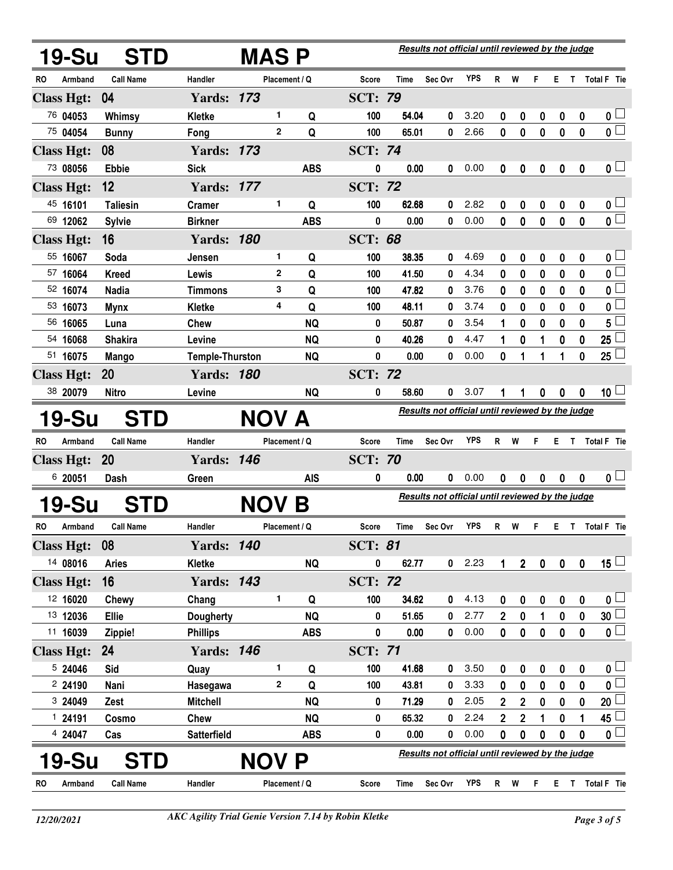|    | <b>19-Su</b>      | <b>STD</b>       |                        | <b>MAS P</b>  |            |                |             | Results not official until reviewed by the judge |            |                |             |             |             |             |                          |
|----|-------------------|------------------|------------------------|---------------|------------|----------------|-------------|--------------------------------------------------|------------|----------------|-------------|-------------|-------------|-------------|--------------------------|
| RO | Armband           | <b>Call Name</b> | Handler                | Placement / Q |            | <b>Score</b>   | <b>Time</b> | Sec Ovr                                          | <b>YPS</b> | R              | W           | F.          |             |             | E T Total F Tie          |
|    | <b>Class Hgt:</b> | 04               | <b>Yards: 173</b>      |               |            | <b>SCT: 79</b> |             |                                                  |            |                |             |             |             |             |                          |
|    | 76 04053          | Whimsy           | <b>Kletke</b>          | 1             | Q          | 100            | 54.04       | 0                                                | 3.20       | 0              | 0           | 0           | 0           | 0           | 0 <sub>1</sub>           |
|    | 75 04054          | <b>Bunny</b>     | Fong                   | $\mathbf{2}$  | Q          | 100            | 65.01       | 0                                                | 2.66       | 0              | $\bf{0}$    | $\mathbf 0$ | $\bf{0}$    | $\mathbf 0$ | $\overline{\mathbf{0}}$  |
|    | <b>Class Hgt:</b> | 08               | <b>Yards: 173</b>      |               |            | <b>SCT: 74</b> |             |                                                  |            |                |             |             |             |             |                          |
|    | 73 08056          | <b>Ebbie</b>     | <b>Sick</b>            |               | <b>ABS</b> | 0              | 0.00        | 0                                                | 0.00       | 0              | 0           | 0           | 0           | 0           | 0 <sub>1</sub>           |
|    | <b>Class Hgt:</b> | 12               | <b>Yards: 177</b>      |               |            | <b>SCT: 72</b> |             |                                                  |            |                |             |             |             |             |                          |
|    | 45 16101          | <b>Taliesin</b>  | <b>Cramer</b>          | 1             | Q          | 100            | 62.68       | 0                                                | 2.82       | 0              | 0           | 0           | 0           | 0           | 0 L                      |
|    | 69 12062          | <b>Sylvie</b>    | <b>Birkner</b>         |               | <b>ABS</b> | 0              | 0.00        | 0                                                | 0.00       | 0              | 0           | 0           | 0           | 0           | $\overline{\mathbf{0}}$  |
|    | <b>Class Hgt:</b> | 16               | <b>Yards: 180</b>      |               |            | <b>SCT: 68</b> |             |                                                  |            |                |             |             |             |             |                          |
|    | 55 16067          | Soda             | Jensen                 | 1             | Q          | 100            | 38.35       | 0                                                | 4.69       | 0              | 0           | 0           | 0           | 0           | 0                        |
|    | 57 16064          | <b>Kreed</b>     | Lewis                  | $\mathbf{2}$  | Q          | 100            | 41.50       | 0                                                | 4.34       | 0              | 0           | 0           | 0           | 0           | $\overline{\mathbf{0}}$  |
|    | 52 16074          | <b>Nadia</b>     | <b>Timmons</b>         | 3             | Q          | 100            | 47.82       | 0                                                | 3.76       | 0              | 0           | 0           | 0           | 0           | 0                        |
|    | 53 16073          | <b>Mynx</b>      | <b>Kletke</b>          | 4             | Q          | 100            | 48.11       | 0                                                | 3.74       | 0              | 0           | 0           | 0           | 0           | 0                        |
|    | 56 16065          | Luna             | <b>Chew</b>            |               | <b>NQ</b>  | 0              | 50.87       | 0                                                | 3.54       | 1              | 0           | 0           | 0           | 0           | 5                        |
|    | 54 16068          | <b>Shakira</b>   | Levine                 |               | <b>NQ</b>  | 0              | 40.26       | 0                                                | 4.47       | 1              | 0           | 1           | 0           | 0           | 25                       |
|    | 51 16075          | <b>Mango</b>     | <b>Temple-Thurston</b> |               | <b>NQ</b>  | 0              | 0.00        | 0                                                | 0.00       | 0              | 1           |             | 1           | 0           | 25                       |
|    | <b>Class Hgt:</b> | <b>20</b>        | <b>Yards: 180</b>      |               |            | <b>SCT: 72</b> |             |                                                  |            |                |             |             |             |             |                          |
|    | 38 20079          | <b>Nitro</b>     | Levine                 |               | <b>NQ</b>  | 0              | 58.60       | 0                                                | 3.07       | 1              | 1           | 0           | 0           | 0           | 10 <sup>L</sup>          |
|    | 19-Su             | STD              |                        | NOV A         |            |                |             | Results not official until reviewed by the judge |            |                |             |             |             |             |                          |
| RO | Armband           | <b>Call Name</b> | Handler                | Placement / Q |            | <b>Score</b>   | Time        | Sec Ovr                                          | <b>YPS</b> | R              | W           | F.          | E.          | T.          | <b>Total F</b> Tie       |
|    | <b>Class Hgt:</b> | 20               | <b>Yards: 146</b>      |               |            | <b>SCT: 70</b> |             |                                                  |            |                |             |             |             |             |                          |
|    | 6 20051           | Dash             | Green                  |               | <b>AIS</b> | 0              | 0.00        | 0                                                | 0.00       | 0              | 0           | 0           | 0           | 0           | 0 <sub>1</sub>           |
|    | <b>19-Su</b>      | <b>STD</b>       |                        | <b>NOV</b>    | Β          |                |             | Results not official until reviewed by the judge |            |                |             |             |             |             |                          |
| RO | Armband           | <b>Call Name</b> | Handler                | Placement / Q |            | <b>Score</b>   | Time        | Sec Ovr                                          | <b>YPS</b> | R              | W           | F.          |             |             | E T Total F Tie          |
|    | <b>Class Hgt:</b> | 08               | <b>Yards: 140</b>      |               |            | <b>SCT: 81</b> |             |                                                  |            |                |             |             |             |             |                          |
|    | 14 08016          | <b>Aries</b>     | Kletke                 |               | <b>NQ</b>  | 0              | 62.77       | 0                                                | 2.23       | 1              | $2^{\circ}$ | $\pmb{0}$   | $\pmb{0}$   | $\pmb{0}$   | $15\perp$                |
|    | <b>Class Hgt:</b> | 16               | <b>Yards: 143</b>      |               |            | <b>SCT: 72</b> |             |                                                  |            |                |             |             |             |             |                          |
|    | 12 16020          | Chewy            | Chang                  | 1             | Q          | 100            | 34.62       | 0                                                | 4.13       | 0              | 0           | 0           | 0           | $\mathbf 0$ | 0 <sub>1</sub>           |
|    | 13 12036          | <b>Ellie</b>     | <b>Dougherty</b>       |               | <b>NQ</b>  | 0              | 51.65       | 0                                                | 2.77       | 2              | 0           | 1           | 0           | 0           | 30 <sup>1</sup>          |
|    | 11 16039          | Zippie!          | <b>Phillips</b>        |               | <b>ABS</b> | 0              | 0.00        | 0                                                | 0.00       | 0              | $\mathbf 0$ | $\pmb{0}$   | $\mathbf 0$ | $\mathbf 0$ | $\overline{\mathbf{0}}$  |
|    | <b>Class Hgt:</b> | 24               | <b>Yards: 146</b>      |               |            | <b>SCT: 71</b> |             |                                                  |            |                |             |             |             |             |                          |
|    | 5 24046           | Sid              | Quay                   | 1             | Q          | 100            | 41.68       | 0                                                | 3.50       | 0              | 0           | 0           | 0           | 0           | 0 <sub>0</sub>           |
|    | 2 24190           | Nani             | Hasegawa               | $\mathbf{2}$  | Q          | 100            | 43.81       | 0                                                | 3.33       | 0              | $\bf{0}$    | 0           | $\bf{0}$    | 0           | $\mathbf{0}$             |
|    | 3 24049           | Zest             | <b>Mitchell</b>        |               | <b>NQ</b>  | 0              | 71.29       | 0                                                | 2.05       | $\mathbf 2$    | $\mathbf 2$ | 0           | 0           | 0           | 20 $\mathsf{\mathsf{L}}$ |
|    | 1 24191           | Cosmo            | <b>Chew</b>            |               | <b>NQ</b>  | 0              | 65.32       | 0                                                | 2.24       | $\overline{2}$ | $\mathbf 2$ | 1           | 0           | 1           | 45                       |
|    | 4 24047           | Cas              | <b>Satterfield</b>     |               | <b>ABS</b> | 0              | 0.00        | 0                                                | 0.00       | 0              | 0           | 0           | 0           | $\bf{0}$    | 0 <sup>1</sup>           |
|    | 19-Su             | <b>STD</b>       |                        | <b>NOV P</b>  |            |                |             | Results not official until reviewed by the judge |            |                |             |             |             |             |                          |
| RO | Armband           | <b>Call Name</b> | Handler                | Placement / Q |            | <b>Score</b>   | Time        | Sec Ovr                                          | <b>YPS</b> |                | R W         | F.          |             |             | E T Total F Tie          |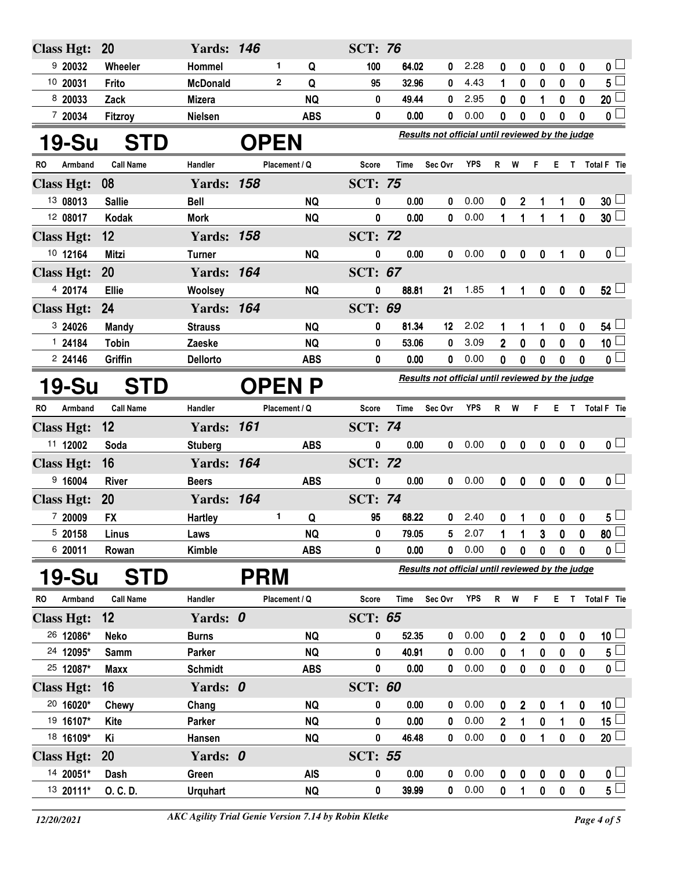| <b>Class Hgt:</b>      | <b>20</b>        | <b>Yards: 146</b>        |            |                         | <b>SCT: 76</b> |               |                                                  |              |                  |                  |                        |                  |                  |                                      |
|------------------------|------------------|--------------------------|------------|-------------------------|----------------|---------------|--------------------------------------------------|--------------|------------------|------------------|------------------------|------------------|------------------|--------------------------------------|
| 920032                 | Wheeler          | Hommel                   |            | 1<br>Q                  | 100            | 64.02         | 0                                                | 2.28         | 0                | 0                | 0                      | 0                | 0                | $\mathbf{0}$ $\Box$                  |
| 10 20031               | Frito            | <b>McDonald</b>          |            | $\mathbf{2}$<br>Q       | 95             | 32.96         | 0                                                | 4.43         | 1                | $\bf{0}$         | 0                      | 0                | $\mathbf{0}$     | $5^{\square}$                        |
| 8 20033                | Zack             | <b>Mizera</b>            |            | <b>NQ</b>               | 0              | 49.44         | 0                                                | 2.95         | $\bf{0}$         | 0                | $\mathbf{1}$           | 0                | $\mathbf 0$      | 20                                   |
| 7 20034                | Fitzroy          | Nielsen                  |            | <b>ABS</b>              | 0              | 0.00          | 0                                                | 0.00         | 0                | $\bf{0}$         | 0                      | $\boldsymbol{0}$ | $\mathbf{0}$     | $\overline{\mathbf{0}}$              |
| 19-Su                  | <b>STD</b>       |                          |            | <b>OPEN</b>             |                |               | Results not official until reviewed by the judge |              |                  |                  |                        |                  |                  |                                      |
| Armband<br>RO          | <b>Call Name</b> | Handler                  |            | Placement / Q           | Score          | <b>Time</b>   | Sec Ovr                                          | YPS          | R                | W                | F.                     | E.               | $\mathbf{T}$     | Total F Tie                          |
| <b>Class Hgt:</b>      | 08               | <b>Yards: 158</b>        |            |                         | <b>SCT: 75</b> |               |                                                  |              |                  |                  |                        |                  |                  |                                      |
| 13 08013               | <b>Sallie</b>    | <b>Bell</b>              |            | <b>NQ</b>               | 0              | 0.00          | 0                                                | 0.00         | 0                | $\mathbf 2$      |                        | 1                | 0                | 30 <sup>1</sup>                      |
| 12 08017               | Kodak            | <b>Mork</b>              |            | <b>NQ</b>               | 0              | 0.00          | 0                                                | 0.00         | 1                | 1                | 1                      | 1                | $\mathbf 0$      | $30\square$                          |
| <b>Class Hgt:</b>      | 12               | <b>Yards: 158</b>        |            |                         | <b>SCT: 72</b> |               |                                                  |              |                  |                  |                        |                  |                  |                                      |
| 10 12164               | Mitzi            | <b>Turner</b>            |            | <b>NQ</b>               | $\pmb{0}$      | 0.00          | 0                                                | 0.00         | 0                | 0                | 0                      | 1                | $\mathbf 0$      | $\mathbf{0}$ $\Box$                  |
| <b>Class Hgt:</b>      | 20               | <b>Yards: 164</b>        |            |                         | <b>SCT: 67</b> |               |                                                  |              |                  |                  |                        |                  |                  |                                      |
| 4 20174                | Ellie            | Woolsey                  |            | <b>NQ</b>               | 0              | 88.81         | 21                                               | 1.85         | 1                | 1                | 0                      | $\pmb{0}$        | $\pmb{0}$        | $52 \Box$                            |
| <b>Class Hgt:</b>      | 24               | <b>Yards: 164</b>        |            |                         | <b>SCT: 69</b> |               |                                                  |              |                  |                  |                        |                  |                  |                                      |
| 3 24026                | <b>Mandy</b>     | <b>Strauss</b>           |            | <b>NQ</b>               | 0              | 81.34         | 12                                               | 2.02         | 1                | 1                | 1                      | 0                | 0                | 54 <sup>1</sup>                      |
| 1 24184                | <b>Tobin</b>     | Zaeske                   |            | <b>NQ</b>               | 0              | 53.06         | 0                                                | 3.09         | $\overline{2}$   | 0                | 0                      | 0                | $\mathbf 0$      | 10 <sup>1</sup>                      |
| 224146                 | Griffin          | <b>Dellorto</b>          |            | <b>ABS</b>              | 0              | 0.00          | 0                                                | 0.00         | 0                | 0                | 0                      | 0                | $\mathbf{0}$     | 0 <sup>1</sup>                       |
| <b>19-Su</b>           | <b>STD</b>       |                          |            | OPEN P                  |                |               | Results not official until reviewed by the judge |              |                  |                  |                        |                  |                  |                                      |
| Armband<br>RO          | <b>Call Name</b> | Handler                  |            | Placement / Q           | Score          | Time          | Sec Ovr                                          | <b>YPS</b>   | R                | W                | F.                     | E.               | $\mathbf{T}$     | Total F Tie                          |
| <b>Class Hgt:</b>      | 12               | <b>Yards: 161</b>        |            |                         | <b>SCT: 74</b> |               |                                                  |              |                  |                  |                        |                  |                  |                                      |
| 11 12002               | Soda             | <b>Stuberg</b>           |            | <b>ABS</b>              | 0              | 0.00          | $\mathbf{0}$                                     | 0.00         | $\mathbf 0$      | 0                | 0                      | 0                | $\boldsymbol{0}$ | 0 <sub>1</sub>                       |
| <b>Class Hgt:</b>      | 16               | <b>Yards: 164</b>        |            |                         | <b>SCT: 72</b> |               |                                                  |              |                  |                  |                        |                  |                  |                                      |
| 9,16004                | <b>River</b>     | <b>Beers</b>             |            | <b>ABS</b>              | 0              | 0.00          | $\mathbf{0}$                                     | 0.00         | 0                | 0                | 0                      | 0                | 0                | $\mathsf{o} \sqcup$                  |
| <b>Class Hgt:</b>      | 20               | <b>Yards: 164</b>        |            |                         | <b>SCT: 74</b> |               |                                                  |              |                  |                  |                        |                  |                  |                                      |
| 7 20009                | <b>FX</b>        | Hartley                  |            | 1<br>Q                  | 95             | 68.22         | 0                                                | 2.40         | 0                | 1                | 0                      | 0                | $\mathbf 0$      | $5 -$                                |
| 5 20158                | Linus            | Laws                     |            | <b>NQ</b>               | 0              | 79.05         | 5 <sup>5</sup>                                   | 2.07         |                  |                  | $\mathbf{3}$           | $\mathbf{0}$     | $\mathbf 0$      | $\overline{80}$                      |
| 6 20011                | Rowan            | Kimble                   |            | <b>ABS</b>              | 0              | 0.00          | $\mathbf{0}$                                     | 0.00         | 0                | 0                | 0                      | $\mathbf 0$      | 0                | $\mathfrak{o} \sqcup$                |
| <b>19-Su</b>           | <b>STD</b>       |                          | <b>PRM</b> |                         |                |               | Results not official until reviewed by the judge |              |                  |                  |                        |                  |                  |                                      |
| Armband<br><b>RO</b>   | <b>Call Name</b> | Handler                  |            | Placement / Q           | Score          | Time          | Sec Ovr                                          | YPS          | R W              |                  | F.                     |                  |                  | E T Total F Tie                      |
| <b>Class Hgt:</b>      | 12               | Yards: 0                 |            |                         | <b>SCT: 65</b> |               |                                                  |              |                  |                  |                        |                  |                  |                                      |
| 26 12086*              | <b>Neko</b>      | <b>Burns</b>             |            | <b>NQ</b>               | 0              | 52.35         | 0                                                | 0.00         | 0                | $\boldsymbol{2}$ | 0                      | 0                | $\mathbf 0$      | 10 <sup>1</sup>                      |
| 24 12095*              | Samm             | Parker                   |            | <b>NQ</b>               | 0              | 40.91         | 0                                                | 0.00         | 0                | 1                | 0                      | $\pmb{0}$        | 0                | $\overline{5}$                       |
| 25 12087*              | <b>Maxx</b>      | <b>Schmidt</b>           |            | <b>ABS</b>              | $\pmb{0}$      | 0.00          | $\pmb{0}$                                        | 0.00         | $\mathbf 0$      | $\pmb{0}$        | $\mathbf 0$            | $\pmb{0}$        | $\mathbf 0$      | $\overline{\mathbf{0}}$              |
| <b>Class Hgt:</b>      | 16               | Yards: 0                 |            |                         | <b>SCT: 60</b> |               |                                                  |              |                  |                  |                        |                  |                  |                                      |
| 20 16020*              | Chewy            | Chang                    |            | <b>NQ</b>               | 0              | 0.00          | 0                                                | 0.00         | 0                | $\mathbf{2}$     | 0                      | 1                | 0                | 10 <sup>1</sup>                      |
|                        |                  |                          |            |                         |                |               |                                                  |              |                  |                  |                        |                  |                  |                                      |
| 19 16107*              | Kite             | Parker                   |            | <b>NQ</b>               | 0              | 0.00          | 0                                                | 0.00         | $2\overline{ }$  | 1                | $\mathbf 0$            | $\mathbf{1}$     | $\pmb{0}$        | $15\perp$                            |
| 18 16109*              | Κi               | Hansen                   |            | <b>NQ</b>               | 0              | 46.48         | 0                                                | 0.00         | $\mathbf{0}$     | $\bf{0}$         | 1                      | 0                | $\pmb{0}$        | $20$ $\Box$                          |
| <b>Class Hgt:</b>      | 20               | Yards: 0                 |            |                         | <b>SCT: 55</b> |               |                                                  |              |                  |                  |                        |                  |                  |                                      |
| 14 20051*<br>13 20111* | Dash<br>O. C. D. | Green<br><b>Urquhart</b> |            | <b>AIS</b><br><b>NQ</b> | 0<br>0         | 0.00<br>39.99 | 0<br>$\mathbf 0$                                 | 0.00<br>0.00 | 0<br>$\mathbf 0$ | 0                | $\pmb{0}$<br>$\pmb{0}$ | 0<br>$\pmb{0}$   | 0<br>$\pmb{0}$   | $\mathbf{0}$ $\Box$<br>$5^{\square}$ |